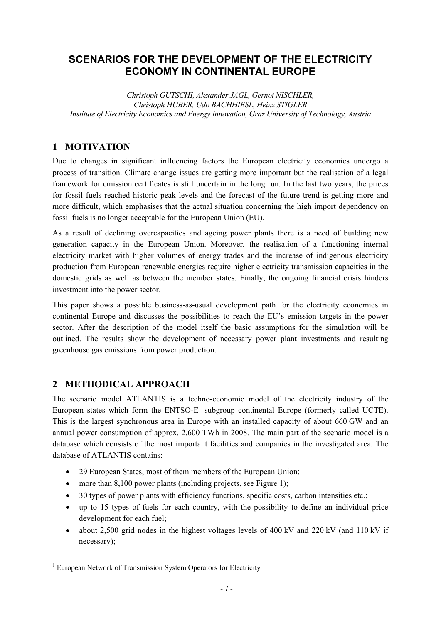## **SCENARIOS FOR THE DEVELOPMENT OF THE ELECTRICITY ECONOMY IN CONTINENTAL EUROPE**

*Christoph GUTSCHI, Alexander JAGL, Gernot NISCHLER, Christoph HUBER, Udo BACHHIESL, Heinz STIGLER Institute of Electricity Economics and Energy Innovation, Graz University of Technology, Austria* 

### **1 MOTIVATION**

Due to changes in significant influencing factors the European electricity economies undergo a process of transition. Climate change issues are getting more important but the realisation of a legal framework for emission certificates is still uncertain in the long run. In the last two years, the prices for fossil fuels reached historic peak levels and the forecast of the future trend is getting more and more difficult, which emphasises that the actual situation concerning the high import dependency on fossil fuels is no longer acceptable for the European Union (EU).

As a result of declining overcapacities and ageing power plants there is a need of building new generation capacity in the European Union. Moreover, the realisation of a functioning internal electricity market with higher volumes of energy trades and the increase of indigenous electricity production from European renewable energies require higher electricity transmission capacities in the domestic grids as well as between the member states. Finally, the ongoing financial crisis hinders investment into the power sector.

This paper shows a possible business-as-usual development path for the electricity economies in continental Europe and discusses the possibilities to reach the EU's emission targets in the power sector. After the description of the model itself the basic assumptions for the simulation will be outlined. The results show the development of necessary power plant investments and resulting greenhouse gas emissions from power production.

### **2 METHODICAL APPROACH**

The scenario model ATLANTIS is a techno-economic model of the electricity industry of the European states which form the  $ENTSO-E<sup>1</sup>$  subgroup continental Europe (formerly called UCTE). This is the largest synchronous area in Europe with an installed capacity of about 660 GW and an annual power consumption of approx. 2,600 TWh in 2008. The main part of the scenario model is a database which consists of the most important facilities and companies in the investigated area. The database of ATLANTIS contains:

- 29 European States, most of them members of the European Union;
- more than 8,100 power plants (including projects, see Figure 1);
- 30 types of power plants with efficiency functions, specific costs, carbon intensities etc.;
- up to 15 types of fuels for each country, with the possibility to define an individual price development for each fuel;
- about 2,500 grid nodes in the highest voltages levels of 400 kV and 220 kV (and 110 kV if necessary);

 $\overline{a}$ 

<u>.</u>

<sup>&</sup>lt;sup>1</sup> European Network of Transmission System Operators for Electricity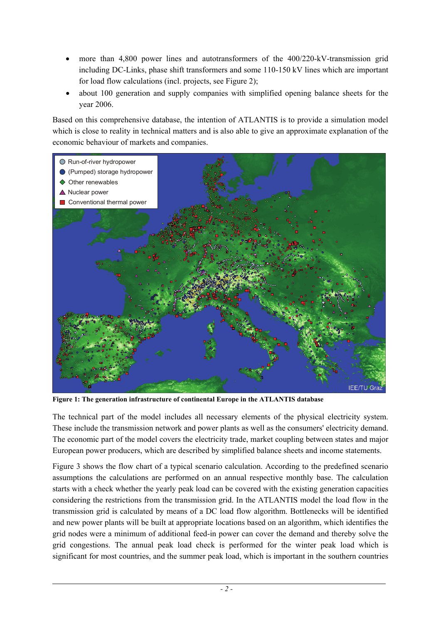- more than 4,800 power lines and autotransformers of the 400/220-kV-transmission grid including DC-Links, phase shift transformers and some 110-150 kV lines which are important for load flow calculations (incl. projects, see Figure 2);
- about 100 generation and supply companies with simplified opening balance sheets for the year 2006.

Based on this comprehensive database, the intention of ATLANTIS is to provide a simulation model which is close to reality in technical matters and is also able to give an approximate explanation of the economic behaviour of markets and companies.



**Figure 1: The generation infrastructure of continental Europe in the ATLANTIS database** 

 $\overline{a}$ 

The technical part of the model includes all necessary elements of the physical electricity system. These include the transmission network and power plants as well as the consumers' electricity demand. The economic part of the model covers the electricity trade, market coupling between states and major European power producers, which are described by simplified balance sheets and income statements.

Figure 3 shows the flow chart of a typical scenario calculation. According to the predefined scenario assumptions the calculations are performed on an annual respective monthly base. The calculation starts with a check whether the yearly peak load can be covered with the existing generation capacities considering the restrictions from the transmission grid. In the ATLANTIS model the load flow in the transmission grid is calculated by means of a DC load flow algorithm. Bottlenecks will be identified and new power plants will be built at appropriate locations based on an algorithm, which identifies the grid nodes were a minimum of additional feed-in power can cover the demand and thereby solve the grid congestions. The annual peak load check is performed for the winter peak load which is significant for most countries, and the summer peak load, which is important in the southern countries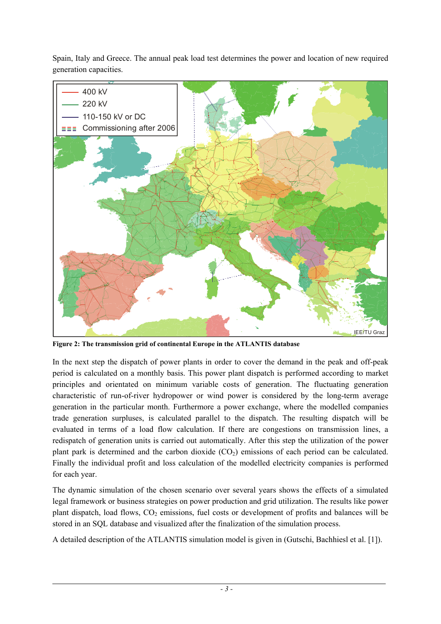Spain, Italy and Greece. The annual peak load test determines the power and location of new required generation capacities.



**Figure 2: The transmission grid of continental Europe in the ATLANTIS database** 

 $\overline{a}$ 

In the next step the dispatch of power plants in order to cover the demand in the peak and off-peak period is calculated on a monthly basis. This power plant dispatch is performed according to market principles and orientated on minimum variable costs of generation. The fluctuating generation characteristic of run-of-river hydropower or wind power is considered by the long-term average generation in the particular month. Furthermore a power exchange, where the modelled companies trade generation surpluses, is calculated parallel to the dispatch. The resulting dispatch will be evaluated in terms of a load flow calculation. If there are congestions on transmission lines, a redispatch of generation units is carried out automatically. After this step the utilization of the power plant park is determined and the carbon dioxide  $(CO<sub>2</sub>)$  emissions of each period can be calculated. Finally the individual profit and loss calculation of the modelled electricity companies is performed for each year.

The dynamic simulation of the chosen scenario over several years shows the effects of a simulated legal framework or business strategies on power production and grid utilization. The results like power plant dispatch, load flows,  $CO<sub>2</sub>$  emissions, fuel costs or development of profits and balances will be stored in an SQL database and visualized after the finalization of the simulation process.

A detailed description of the ATLANTIS simulation model is given in (Gutschi, Bachhiesl et al. [1]).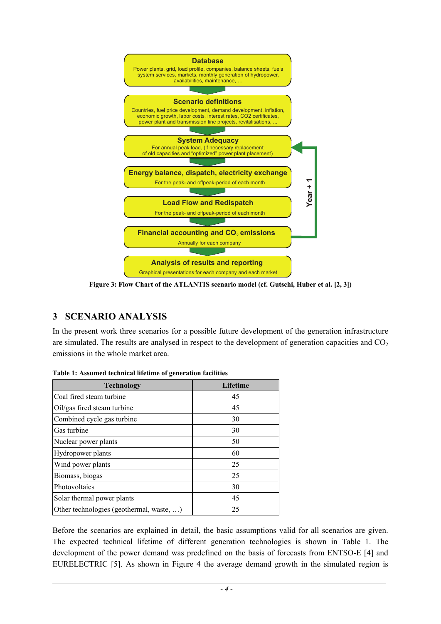

**Figure 3: Flow Chart of the ATLANTIS scenario model (cf. Gutschi, Huber et al. [2, 3])**

## **3 SCENARIO ANALYSIS**

 $\overline{a}$ 

In the present work three scenarios for a possible future development of the generation infrastructure are simulated. The results are analysed in respect to the development of generation capacities and  $CO<sub>2</sub>$ emissions in the whole market area.

| Technology                               | <b>Lifetime</b> |
|------------------------------------------|-----------------|
| Coal fired steam turbine                 | 45              |
| Oil/gas fired steam turbine              | 45              |
| Combined cycle gas turbine               | 30              |
| Gas turbine                              | 30              |
| Nuclear power plants                     | 50              |
| Hydropower plants                        | 60              |
| Wind power plants                        | 25              |
| Biomass, biogas                          | 25              |
| Photovoltaics                            | 30              |
| Solar thermal power plants               | 45              |
| Other technologies (geothermal, waste, ) | 25              |

**Table 1: Assumed technical lifetime of generation facilities** 

Before the scenarios are explained in detail, the basic assumptions valid for all scenarios are given. The expected technical lifetime of different generation technologies is shown in Table 1. The development of the power demand was predefined on the basis of forecasts from ENTSO-E [4] and EURELECTRIC [5]. As shown in Figure 4 the average demand growth in the simulated region is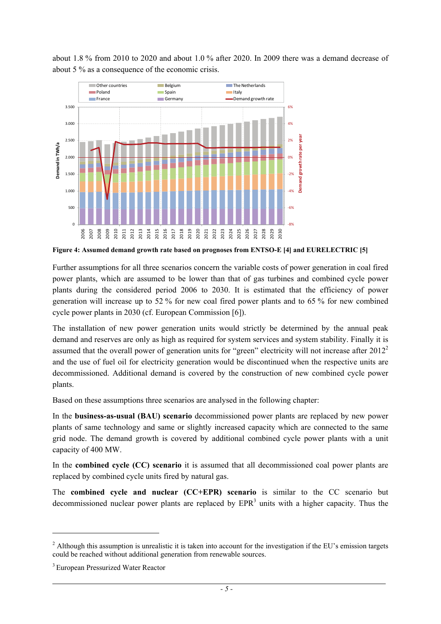

about 1.8 % from 2010 to 2020 and about 1.0 % after 2020. In 2009 there was a demand decrease of about 5 % as a consequence of the economic crisis.

**Figure 4: Assumed demand growth rate based on prognoses from ENTSO-E [4] and EURELECTRIC [5]** 

Further assumptions for all three scenarios concern the variable costs of power generation in coal fired power plants, which are assumed to be lower than that of gas turbines and combined cycle power plants during the considered period 2006 to 2030. It is estimated that the efficiency of power generation will increase up to 52 % for new coal fired power plants and to 65 % for new combined cycle power plants in 2030 (cf. European Commission [6]).

The installation of new power generation units would strictly be determined by the annual peak demand and reserves are only as high as required for system services and system stability. Finally it is assumed that the overall power of generation units for "green" electricity will not increase after 2012<sup>2</sup> and the use of fuel oil for electricity generation would be discontinued when the respective units are decommissioned. Additional demand is covered by the construction of new combined cycle power plants.

Based on these assumptions three scenarios are analysed in the following chapter:

In the **business-as-usual (BAU) scenario** decommissioned power plants are replaced by new power plants of same technology and same or slightly increased capacity which are connected to the same grid node. The demand growth is covered by additional combined cycle power plants with a unit capacity of 400 MW.

In the **combined cycle (CC) scenario** it is assumed that all decommissioned coal power plants are replaced by combined cycle units fired by natural gas.

The **combined cycle and nuclear (CC+EPR) scenario** is similar to the CC scenario but decommissioned nuclear power plants are replaced by  $EPR<sup>3</sup>$  units with a higher capacity. Thus the

 $\overline{a}$ 

1

 $2$  Although this assumption is unrealistic it is taken into account for the investigation if the EU's emission targets could be reached without additional generation from renewable sources.

<sup>&</sup>lt;sup>3</sup> European Pressurized Water Reactor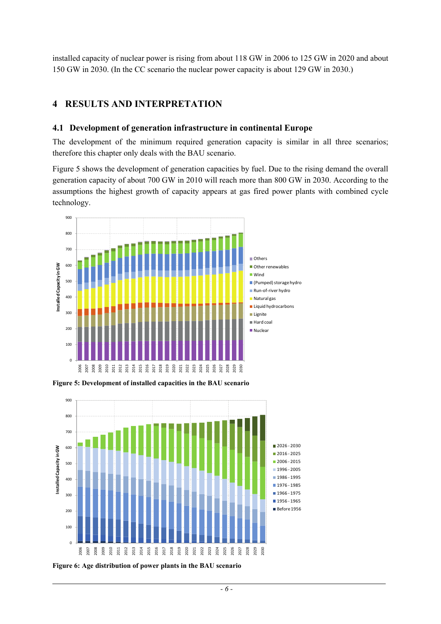installed capacity of nuclear power is rising from about 118 GW in 2006 to 125 GW in 2020 and about 150 GW in 2030. (In the CC scenario the nuclear power capacity is about 129 GW in 2030.)

### **RESULTS AND INTERPRETATION**

#### **4.1 Development of generation infrastructure in continental Europe**

The development of the minimum required generation capacity is similar in all three scenarios; therefore this chapter only deals with the BAU scenario.

Figure 5 shows the development of generation capacities by fuel. Due to the rising demand the overall generation capacity of about 700 GW in 2010 will reach more than 800 GW in 2030. According to the assumptions the highest growth of capacity appears at gas fired power plants with combined cycle technology.



**Figure 5: Development of installed capacities in the BAU scenario** 



**Figure 6: Age distribution of power plants in the BAU scenario**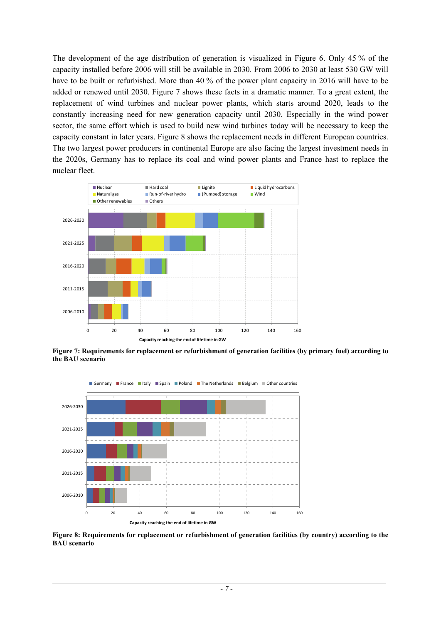The development of the age distribution of generation is visualized in Figure 6. Only 45 % of the capacity installed before 2006 will still be available in 2030. From 2006 to 2030 at least 530 GW will have to be built or refurbished. More than 40 % of the power plant capacity in 2016 will have to be added or renewed until 2030. Figure 7 shows these facts in a dramatic manner. To a great extent, the replacement of wind turbines and nuclear power plants, which starts around 2020, leads to the constantly increasing need for new generation capacity until 2030. Especially in the wind power sector, the same effort which is used to build new wind turbines today will be necessary to keep the capacity constant in later years. Figure 8 shows the replacement needs in different European countries. The two largest power producers in continental Europe are also facing the largest investment needs in the 2020s, Germany has to replace its coal and wind power plants and France hast to replace the nuclear fleet.



**Figure 7: Requirements for replacement or refurbishment of generation facilities (by primary fuel) according to the BAU scenario** 



**Figure 8: Requirements for replacement or refurbishment of generation facilities (by country) according to the BAU scenario**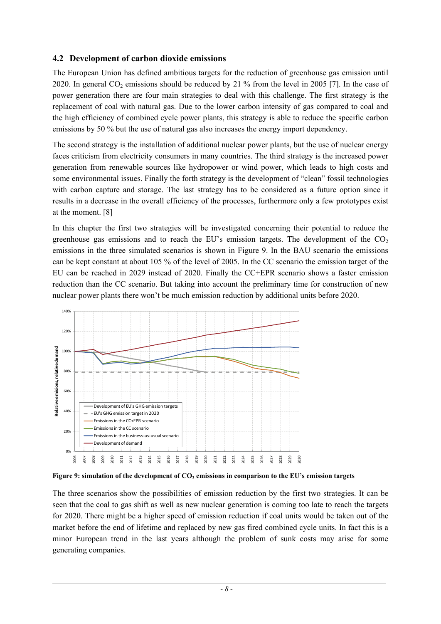### **4.2 Development of carbon dioxide emissions**

The European Union has defined ambitious targets for the reduction of greenhouse gas emission until 2020. In general  $CO<sub>2</sub>$  emissions should be reduced by 21 % from the level in 2005 [7]. In the case of power generation there are four main strategies to deal with this challenge. The first strategy is the replacement of coal with natural gas. Due to the lower carbon intensity of gas compared to coal and the high efficiency of combined cycle power plants, this strategy is able to reduce the specific carbon emissions by 50 % but the use of natural gas also increases the energy import dependency.

The second strategy is the installation of additional nuclear power plants, but the use of nuclear energy faces criticism from electricity consumers in many countries. The third strategy is the increased power generation from renewable sources like hydropower or wind power, which leads to high costs and some environmental issues. Finally the forth strategy is the development of "clean" fossil technologies with carbon capture and storage. The last strategy has to be considered as a future option since it results in a decrease in the overall efficiency of the processes, furthermore only a few prototypes exist at the moment. [8]

In this chapter the first two strategies will be investigated concerning their potential to reduce the greenhouse gas emissions and to reach the EU's emission targets. The development of the  $CO<sub>2</sub>$ emissions in the three simulated scenarios is shown in Figure 9. In the BAU scenario the emissions can be kept constant at about 105 % of the level of 2005. In the CC scenario the emission target of the EU can be reached in 2029 instead of 2020. Finally the CC+EPR scenario shows a faster emission reduction than the CC scenario. But taking into account the preliminary time for construction of new nuclear power plants there won't be much emission reduction by additional units before 2020.



 $\overline{a}$ 

Figure 9: simulation of the development of CO<sub>2</sub> emissions in comparison to the EU's emission targets

The three scenarios show the possibilities of emission reduction by the first two strategies. It can be seen that the coal to gas shift as well as new nuclear generation is coming too late to reach the targets for 2020. There might be a higher speed of emission reduction if coal units would be taken out of the market before the end of lifetime and replaced by new gas fired combined cycle units. In fact this is a minor European trend in the last years although the problem of sunk costs may arise for some generating companies.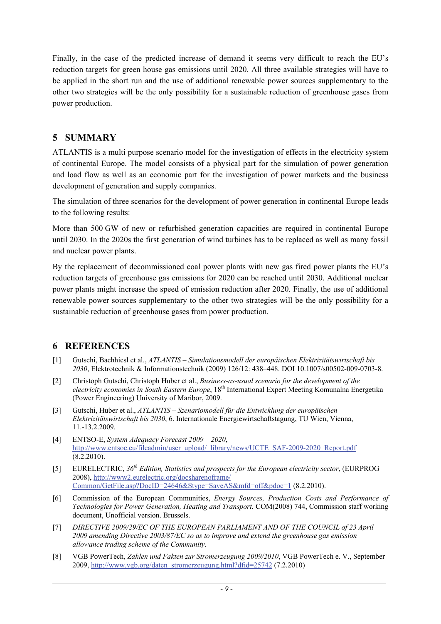Finally, in the case of the predicted increase of demand it seems very difficult to reach the EU's reduction targets for green house gas emissions until 2020. All three available strategies will have to be applied in the short run and the use of additional renewable power sources supplementary to the other two strategies will be the only possibility for a sustainable reduction of greenhouse gases from power production.

### **5 SUMMARY**

ATLANTIS is a multi purpose scenario model for the investigation of effects in the electricity system of continental Europe. The model consists of a physical part for the simulation of power generation and load flow as well as an economic part for the investigation of power markets and the business development of generation and supply companies.

The simulation of three scenarios for the development of power generation in continental Europe leads to the following results:

More than 500 GW of new or refurbished generation capacities are required in continental Europe until 2030. In the 2020s the first generation of wind turbines has to be replaced as well as many fossil and nuclear power plants.

By the replacement of decommissioned coal power plants with new gas fired power plants the EU's reduction targets of greenhouse gas emissions for 2020 can be reached until 2030. Additional nuclear power plants might increase the speed of emission reduction after 2020. Finally, the use of additional renewable power sources supplementary to the other two strategies will be the only possibility for a sustainable reduction of greenhouse gases from power production.

### **6 REFERENCES**

- [1] Gutschi, Bachhiesl et al., *ATLANTIS Simulationsmodell der europäischen Elektrizitätswirtschaft bis 2030*, Elektrotechnik & Informationstechnik (2009) 126/12: 438–448. DOI 10.1007/s00502-009-0703-8.
- [2] Christoph Gutschi, Christoph Huber et al., *Business-as-usual scenario for the development of the electricity economies in South Eastern Europe*, 18th International Expert Meeting Komunalna Energetika (Power Engineering) University of Maribor, 2009.
- [3] Gutschi, Huber et al., *ATLANTIS Szenariomodell für die Entwicklung der europäischen Elektrizitätswirtschaft bis 2030*, 6. Internationale Energiewirtschaftstagung, TU Wien, Vienna, 11.-13.2.2009.
- [4] ENTSO-E, *System Adequacy Forecast 2009 2020*, http://www.entsoe.eu/fileadmin/user\_upload/\_library/news/UCTE\_SAF-2009-2020\_Report.pdf (8.2.2010).
- [5] EURELECTRIC, *36th Edition, Statistics and prospects for the European electricity sector*, (EURPROG 2008), http://www2.eurelectric.org/docsharenoframe/ Common/GetFile.asp?DocID=24646&Stype=SaveAS&mfd=off&pdoc=1 (8.2.2010).
- [6] Commission of the European Communities, *Energy Sources, Production Costs and Performance of Technologies for Power Generation, Heating and Transport.* COM(2008) 744, Commission staff working document, Unofficial version. Brussels.
- [7] *DIRECTIVE 2009/29/EC OF THE EUROPEAN PARLIAMENT AND OF THE COUNCIL of 23 April 2009 amending Directive 2003/87/EC so as to improve and extend the greenhouse gas emission allowance trading scheme of the Community*.
- [8] VGB PowerTech, *Zahlen und Fakten zur Stromerzeugung 2009/2010*, VGB PowerTech e. V., September 2009, http://www.vgb.org/daten\_stromerzeugung.html?dfid=25742 (7.2.2010)